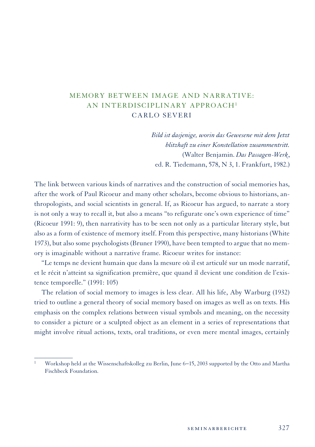## MEMORY BETWEEN IMAGE AND NARRATIVE: AN INTERDISCIPLINARY APPROACH1 CARLO SEVERI

*Bild ist dasjenige, worin das Gewesene mit dem Jetzt blitzhaft zu einer Konstellation zusammentritt.* (Walter Benjamin. *Das Passagen-Werk*, ed. R. Tiedemann, 578, N 3, 1. Frankfurt, 1982.)

The link between various kinds of narratives and the construction of social memories has, after the work of Paul Ricoeur and many other scholars, become obvious to historians, anthropologists, and social scientists in general. If, as Ricoeur has argued, to narrate a story is not only a way to recall it, but also a means "to refigurate one's own experience of time" (Ricoeur 1991: 9), then narrativity has to be seen not only as a particular literary style, but also as a form of existence of memory itself. From this perspective, many historians (White 1973), but also some psychologists (Bruner 1990), have been tempted to argue that no memory is imaginable without a narrative frame. Ricoeur writes for instance:

"Le temps ne devient humain que dans la mesure où il est articulé sur un mode narratif, et le récit n'atteint sa signification première, que quand il devient une condition de l'existence temporelle." (1991: 105)

The relation of social memory to images is less clear. All his life, Aby Warburg (1932) tried to outline a general theory of social memory based on images as well as on texts. His emphasis on the complex relations between visual symbols and meaning, on the necessity to consider a picture or a sculpted object as an element in a series of representations that might involve ritual actions, texts, oral traditions, or even mere mental images, certainly

<sup>1</sup> Workshop held at the Wissenschaftskolleg zu Berlin, June 6−15, 2003 supported by the Otto and Martha Fischbeck Foundation.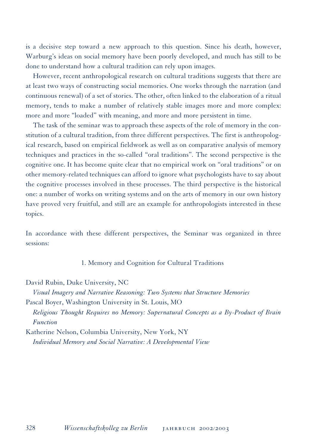is a decisive step toward a new approach to this question. Since his death, however, Warburg's ideas on social memory have been poorly developed, and much has still to be done to understand how a cultural tradition can rely upon images.

However, recent anthropological research on cultural traditions suggests that there are at least two ways of constructing social memories. One works through the narration (and continuous renewal) of a set of stories. The other, often linked to the elaboration of a ritual memory, tends to make a number of relatively stable images more and more complex: more and more "loaded" with meaning, and more and more persistent in time.

The task of the seminar was to approach these aspects of the role of memory in the constitution of a cultural tradition, from three different perspectives. The first is anthropological research, based on empirical fieldwork as well as on comparative analysis of memory techniques and practices in the so-called "oral traditions". The second perspective is the cognitive one. It has become quite clear that no empirical work on "oral traditions" or on other memory-related techniques can afford to ignore what psychologists have to say about the cognitive processes involved in these processes. The third perspective is the historical one: a number of works on writing systems and on the arts of memory in our own history have proved very fruitful, and still are an example for anthropologists interested in these topics.

In accordance with these different perspectives, the Seminar was organized in three sessions:

1. Memory and Cognition for Cultural Traditions

David Rubin, Duke University, NC

*Visual Imagery and Narrative Reasoning: Two Systems that Structure Memories* Pascal Boyer, Washington University in St. Louis, MO *Religious Thought Requires no Memory: Supernatural Concepts as a By-Product of Brain Function*

Katherine Nelson, Columbia University, New York, NY *Individual Memory and Social Narrative: A Developmental View*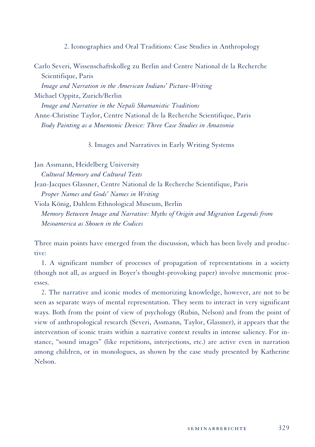2. Iconographies and Oral Traditions: Case Studies in Anthropology

Carlo Severi, Wissenschaftskolleg zu Berlin and Centre National de la Recherche Scientifique, Paris *Image and Narration in the American Indians' Picture-Writing* Michael Oppitz, Zurich/Berlin *Image and Narrative in the Nepali Shamanistic Traditions* Anne-Christine Taylor, Centre National de la Recherche Scientifique, Paris

*Body Painting as a Mnemonic Device: Three Case Studies in Amazonia*

3. Images and Narratives in Early Writing Systems

Jan Assmann, Heidelberg University *Cultural Memory and Cultural Texts* Jean-Jacques Glassner, Centre National de la Recherche Scientifique, Paris *Proper Names and Gods' Names in Writing* Viola König, Dahlem Ethnological Museum, Berlin *Memory Between Image and Narrative: Myths of Origin and Migration Legends from Mesoamerica as Shown in the Codices*

Three main points have emerged from the discussion, which has been lively and productive:

1. A significant number of processes of propagation of representations in a society (though not all, as argued in Boyer's thought-provoking paper) involve mnemonic processes.

2. The narrative and iconic modes of memorizing knowledge, however, are not to be seen as separate ways of mental representation. They seem to interact in very significant ways. Both from the point of view of psychology (Rubin, Nelson) and from the point of view of anthropological research (Severi, Assmann, Taylor, Glassner), it appears that the intervention of iconic traits within a narrative context results in intense saliency. For instance, "sound images" (like repetitions, interjections, etc.) are active even in narration among children, or in monologues, as shown by the case study presented by Katherine Nelson.